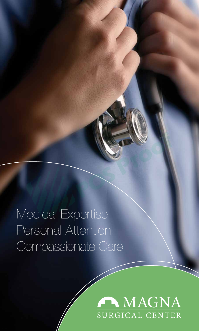Medical Expertise Personal Attention Compassionate Care

# **AMAGNA** SURGICAL CENTER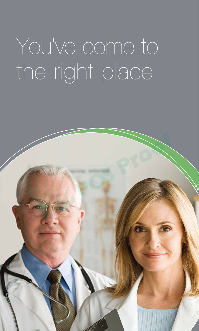# You've come to the right place.

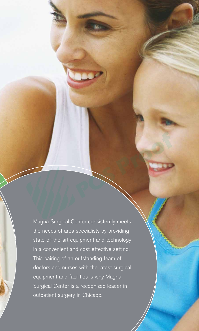Magna Surgical Center consistently meets the needs of area specialists by providing state-of-the-art equipment and technology in a convenient and cost-effective setting. This pairing of an outstanding team of doctors and nurses with the latest surgical equipment and facilities is why Magna Surgical Center is a recognized leader in outpatient surgery in Chicago.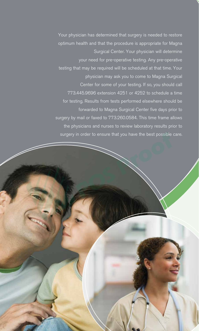Your physician has determined that surgery is needed to restore optimum health and that the procedure is appropriate for Magna Surgical Center. Your physician will determine your need for pre-operative testing. Any pre-operative testing that may be required will be scheduled at that time. Your physician may ask you to come to Magna Surgical Center for some of your testing. If so, you should call 773.445.9696 extension 4251 or 4252 to schedule a time for testing. Results from tests performed elsewhere should be forwarded to Magna Surgical Center five days prior to surgery by mail or faxed to 773.260.0584. This time frame allows the physicians and nurses to review laboratory results prior to surgery in order to ensure that you have the best possible care.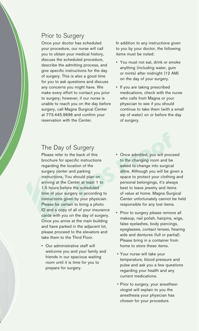# Prior to Surgery

Once your doctor has scheduled your procedure, our nurse will call you to obtain your medical history, discuss the scheduled procedure, describe the admitting process, and give specific instructions for the day of surgery. This is also a good time for you to ask questions and discuss any concerns you might have. We make every effort to contact you prior to surgery; however, if our nurse is unable to reach you on the day before surgery, call Magna Surgical Center at 773.445.9696 and confirm your reservation with the Center.

In addition to any instructions given to you by your doctor, the following items must be noted:

- You must not eat, drink or smoke anything (including water, gum or mints) after midnight (12 AM) on the day of your surgery.
- If you are taking prescribed medications, check with the nurse who calls from Magna or your physician to see if you should continue to take them (with a small sip of water) on or before the day of surgery.

# The Day of Surgery

Please refer to the back of this brochure for specific instructions regarding the location of the surgery center and parking instructions. You should plan on arriving at the Center at least 1 to 1.5 hours before the scheduled time of your surgery or according to instructions given by your physician. Please be certain to bring a photo ID and a copy of all of your insurance cards with you on the day of surgery. Once you arrive at the main building and have parked in the adjacent lot, please proceed to the elevators and take them to the Third Floor.

• Our administrative staff will welcome you and your family and friends in our spacious waiting room until it is time for you to prepare for surgery.

- Once admitted, you will proceed to the changing room and be asked to change into surgical attire. Although you will be given a space to protect your clothing and personal belongings, it's always best to leave jewelry and items of value at home. Magna Surgical Center unfortunately cannot be held responsible for any lost items.
- Prior to surgery please remove all makeup, nail polish, hairpins, wigs, false eyelashes, body piercings, eyeglasses, contact lenses, hearing aids and dentures (full or partial). Please bring in a container from home to store these items.
- Your nurse will take your temperature, blood pressure and pulse and ask you a few questions regarding your health and any current medications.
- Prior to surgery, your anesthesiologist will explain to you the anesthesia your physician has chosen for your procedure.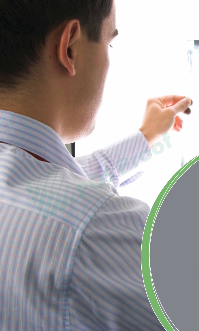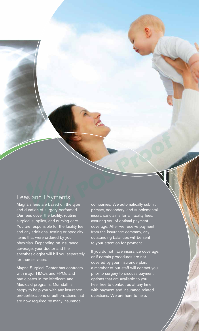#### Fees and Payments

Magna's fees are based on the type and duration of surgery performed. Our fees cover the facility, routine surgical supplies, and nursing care. You are responsible for the facility fee and any additional testing or specialty items that were ordered by your physician. Depending on insurance coverage, your doctor and the anesthesiologist will bill you separately for their services.

Magna Surgical Center has contracts with major HMOs and PPOs and participates in the Medicare and Medicaid programs. Our staff is happy to help you with any insurance pre-certifications or authorizations that are now required by many insurance

companies. We automatically submit primary, secondary, and supplemental insurance claims for all facility fees, assuring you of optimal payment coverage. After we receive payment from the insurance company, any outstanding balances will be sent to your attention for payment.

If you do not have insurance coverage, or if certain procedures are not covered by your insurance plan, a member of our staff will contact you prior to surgery to discuss payment options that are available to you. Feel free to contact us at any time with payment and insurance related questions. We are here to help.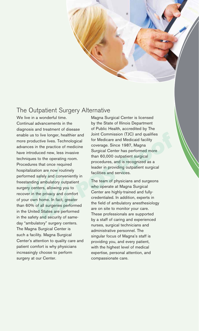

### The Outpatient Surgery Alternative

We live in a wonderful time. Continual advancements in the diagnosis and treatment of disease enable us to live longer, healthier and more productive lives. Technological advances in the practice of medicine have introduced new, less invasive techniques to the operating room. Procedures that once required hospitalization are now routinely performed safely and conveniently in freestanding ambulatory outpatient surgery centers, allowing you to recover in the privacy and comfort of your own home. In fact, greater than 60% of all surgeries performed in the United States are performed in the safety and security of sameday "ambulatory" surgery centers. The Magna Surgical Center is such a facility. Magna Surgical Center's attention to quality care and patient comfort is why physicians increasingly choose to perform surgery at our Center.

Magna Surgical Center is licensed by the State of Illinois Department of Public Health, accredited by The Joint Commission (TJC) and qualifies for Medicare and Medicaid facility coverage. Since 1987, Magna Surgical Center has performed more than 60,000 outpatient surgical procedures, and is recognized as a leader in providing outpatient surgical facilities and services.

The team of physicians and surgeons who operate at Magna Surgical Center are highly-trained and fullycredentialed. In addition, experts in the field of ambulatory anesthesiology are on site to monitor your care. These professionals are supported by a staff of caring and experienced nurses, surgical technicians and administrative personnel. The singular focus of Magna's staff is providing you, and every patient, with the highest level of medical expertise, personal attention, and compassionate care.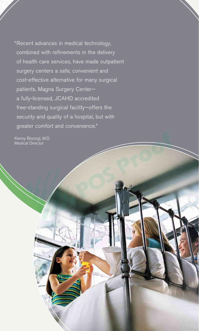"Recent advances in medical technology, combined with refinements in the delivery of health care services, have made outpatient surgery centers a safe, convenient and cost-effective alternative for many surgical patients. Magna Surgery Center a fully-licensed, JCAHO accredited free-standing surgical facility—offers the security and quality of a hospital, but with greater comfort and convenience."

Kenny Bozorgi, M.D. Medical Director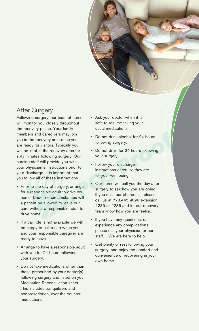# After Surgery

Following surgery, our team of nurses will monitor you closely throughout the recovery phase. Your family members and caregivers may join you in the recovery area once you are ready for visitors. Typically you will be kept in the recovery area for sixty minutes following surgery. Our nursing staff will provide you with your physician's instructions prior to your discharge. It is important that you follow all of these instructions.

- Prior to the day of surgery, arrange for a responsible adult to drive you home. Under no circumstances will a patient be allowed to leave our care without a responsible adult to drive home.
- If a car ride is not available we will be happy to call a cab when you and your responsible caregiver are ready to leave.
- Arrange to have a responsible adult with you for 24 hours following your surgery.
- Do not take medications other than those prescribed by your doctor(s) following surgery and listed on your Medication Reconciliation sheet. This includes tranquilizers and nonprescription, over-the-counter medications.
- Ask your doctor when it is safe to resume taking your usual medications.
- Do not drink alcohol for 24 hours following surgery.
- Do not drive for 24 hours following your surgery.
- Follow your discharge instructions carefully; they are for your well being.
- Our nurse will call you the day after surgery to ask how you are doing. If you miss our phone call, please call us at 773.445.9696 extension 4235 or 4236 and let our recovery team know how you are feeling.
- If you have any questions, or experience any complications, please call your physician or our staff… We are here to help.
- Get plenty of rest following your surgery, and enjoy the comfort and convenience of recovering in your own home.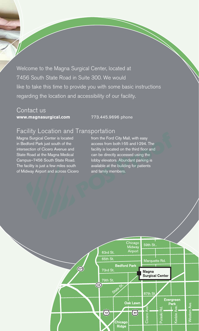Welcome to the Magna Surgical Center, located at 7456 South State Road in Suite 300. We would like to take this time to provide you with some basic instructions regarding the location and accessibility of our facility.

www.magnasurgical.com 773.445.9696 phone Contact us

#### Facility Location and Transportation

Magna Surgical Center is located in Bedford Park just south of the intersection of Cicero Avenue and State Road at the Magna Medical Campus–7456 South State Road. The facility is just a few miles south of Midway Airport and across Cicero

from the Ford City Mall, with easy access from both I-55 and I-294. The facility is located on the third floor and can be directly accessed using the lobby elevators. Abundant parking is available at the building for patients and family members.